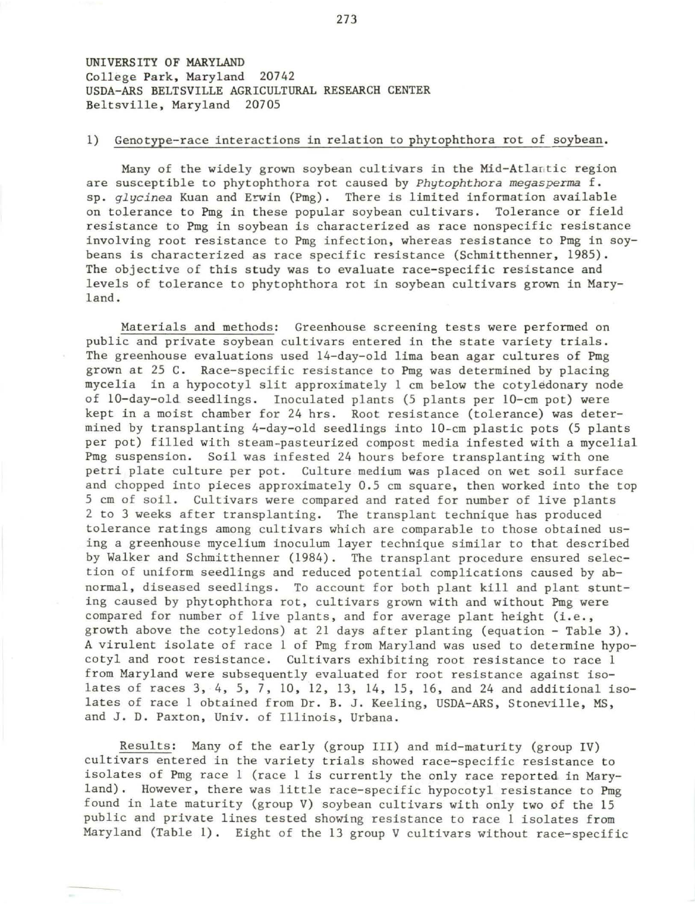UNIVERSITY OF MARYLAND College Park, Maryland 20742 USDA- ARS BELTSVILLE AGRICULTURAL RESEARCH CENTER Beltsville, Maryland 20705

## 1) Genotype-race interactions in relation to phytophthora rot of soybean .

Many of the widely grown soybean cultivars in the Mid-Atlantic region are susceptible to phytophthora rot caused by *Phytophthora megasperma* f. sp. *glycinea* Kuan and Erwin (Pmg). There is limited information available on tolerance to Pmg in these popular soybean cultivars. Tolerance or field resistance to Pmg in soybean is characterized as race nonspecific resistance involving root resistance to Pmg infection, whereas resistance to Pmg in soybeans is characterized as race specific resistance (Schmitthenner, 1985). The objective of this study was to evaluate race-specific resistance and levels of tolerance to phytophthora rot in soybean cultivars grown in Maryland .

Materials and methods: Greenhouse screening tests were performed on public and private soybean cultivars entered in the state variety trials. The greenhouse evaluations used 14-day-old lima bean agar cultures of Pmg grown at 25 C. Race-specific resistance to Pmg was determined by placing mycelia in a hypocotyl slit approximately 1 cm below the cotyledonary node of 10-day-old seedlings. Inoculated plants (5 plants per 10-cm pot) were kept in a moist chamber for 24 hrs. Root resistance (tolerance) was determined by transplanting 4-day-old seedlings into 10-cm plastic pots (5 plants per pot) filled with steam-pasteurized compost media infested with a mycelial Pmg suspension. Soil was infested 24 hours before transplanting with one petri plate culture per pot. Culture medium was placed on wet soil surface and chopped into pieces approximately 0.5 cm square, then worked into the top 5 cm of soil . Cultivars were compared and rated for number of live plants 2 to 3 weeks after transplanting. The transplant technique has produced tolerance ratings among cultivars which are comparable to those obtained using a greenhouse mycelium inoculum layer technique similar to that described by Walker and Schmitthenner (1984). The transplant procedure ensured selection of uniform seedlings and reduced potential complications caused by abnormal, diseased seedlings. To account for both plant kill and plant stunting caused by phytophthora rot, cultivars grown with and without Pmg were compared for number of live plants, and for average plant height (i.e., growth above the cotyledons) at 21 days after planting (equation - Table 3). A virulent isolate of race 1 of Pmg from Maryland was used to determine hypocotyl and root resistance. Cultivars exhibiting root resistance to race l from Maryland were subsequently evaluated for root resistance against isolates of races 3, 4, 5, 7, 10, 12, 13, 14, 15, 16, and 24 and additional isolates of race 1 obtained from Dr. B. J. Keeling, USDA-ARS, Stoneville, MS, and J. D. Paxton, Univ. of Illinois, Urbana.

Results: Many of the early (group III) and mid-maturity (group IV) cultivars entered in the variety trials showed race-specific resistance to isolates of Pmg race 1 (race 1 is currently the only race reported in Maryland). However, there was little race-specific hypocotyl resistance to Pmg found in late maturity (group V) soybean cultivars with only two of the 15 public and private lines tested showing resistance to race 1 isolates from Maryland (Table 1). Eight of the 13 group V cultivars without race-specific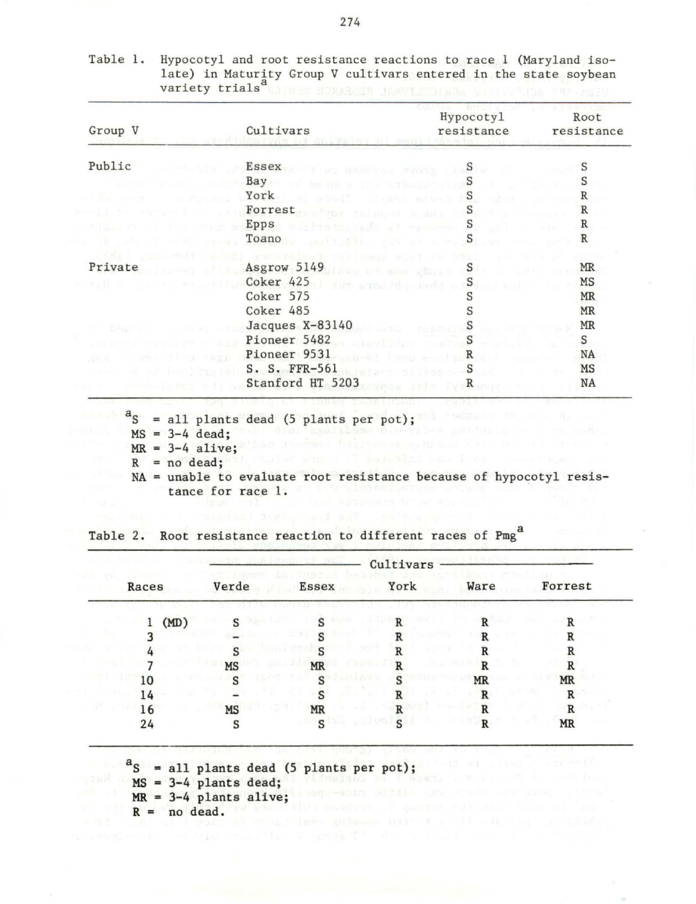| Group V                            | Cultivars                                                                                                                                                                                                                                                          | Hypocotyl<br>resistance | Root<br>resistance |
|------------------------------------|--------------------------------------------------------------------------------------------------------------------------------------------------------------------------------------------------------------------------------------------------------------------|-------------------------|--------------------|
| Public                             | , $\epsilon$ , $\texttt{Essex}_{\texttt{V}\in\mathcal{V}}$ , and the compact of $\mathcal{S}$ , and $\epsilon$                                                                                                                                                     |                         | S                  |
|                                    | Bay a beam a representative S                                                                                                                                                                                                                                      |                         | S                  |
|                                    | York<br>wi social (sm5) nives be have                                                                                                                                                                                                                              |                         | R                  |
|                                    | Forrest and you refuge to some Section                                                                                                                                                                                                                             |                         | $\mathbb{R}$       |
|                                    | Epps, highwatermals at measured                                                                                                                                                                                                                                    | S                       | R                  |
|                                    | Toano<br>constituents, officer words                                                                                                                                                                                                                               | $\mathbf{S}$            | R                  |
| Private                            | sonadalagy of Hibana suay Ja basi<br>Asgrow 5149 and the state of the Second Second Second Second Second Second Second Second Second Second Second Second Second Second Second Second Second Second Second Second Second Second Second Second Second Second Second |                         | MR                 |
|                                    | Coker 425 Jun showing under Speaking                                                                                                                                                                                                                               |                         | MS                 |
|                                    | Coker 575                                                                                                                                                                                                                                                          |                         | MR                 |
|                                    | Coker 485                                                                                                                                                                                                                                                          |                         | <b>MR</b>          |
| THE R. P. LEWIS CO., LANSING MICH. | Jacques $X-83140$                                                                                                                                                                                                                                                  | S                       | MR                 |
|                                    | Pioneer 5482                                                                                                                                                                                                                                                       | S <sub>s</sub>          | S                  |
| a particular viene                 | Pioneer 9531                                                                                                                                                                                                                                                       | R                       | NA                 |
|                                    | S. S. FFR-561                                                                                                                                                                                                                                                      | . <b>S</b>              | MS                 |
|                                    | Stanford HT 5203                                                                                                                                                                                                                                                   | $f \circ R$             | NA                 |

| Table 1. | Hypocotyl and root resistance reactions to race 1 (Maryland iso- |  |
|----------|------------------------------------------------------------------|--|
|          | late) in Maturity Group V cultivars entered in the state soybean |  |
|          | variety trials <sup>a</sup>                                      |  |

NA = unable to evaluate root resistance because of hypocotyl resistance for race 1.

|       |      | Cultivars    |                    |                          |              |           |
|-------|------|--------------|--------------------|--------------------------|--------------|-----------|
| Races |      | Verde        | <b>Essex</b>       | York                     | Ware         | Forrest   |
| 1     | (MD) | c            | $\epsilon$         | D                        | $\mathbf{R}$ | D         |
|       |      |              | $\mathbf{C}$       | -014<br>D                | D            |           |
|       |      |              |                    |                          |              |           |
|       |      | <b>MS</b>    | <b>MR</b><br>- 137 | D                        | D            |           |
| 10    |      | $\mathbf{C}$ | $\epsilon$         | DI BWS                   | <b>MR</b>    | <b>MR</b> |
| 14    |      |              | $\epsilon$         |                          | D            | R         |
| 16    |      | <b>MS</b>    | <b>MR</b>          | D                        | D            | R         |
| 24    |      | S            | s                  | $\mathbf{C}$<br>rei on l | R            | $\,$ MR   |

|  | Table 2. Root resistance reaction to different races of Pmg <sup>a</sup> |  |  |  |
|--|--------------------------------------------------------------------------|--|--|--|

 $a_S$  = all plants dead (5 plants per pot);

```
MS = 3-4 plants dead;
```

```
MR = 3-4 plants alive;
R = \text{no dead.} We have the source of decomposition of R = \text{no dead.}
```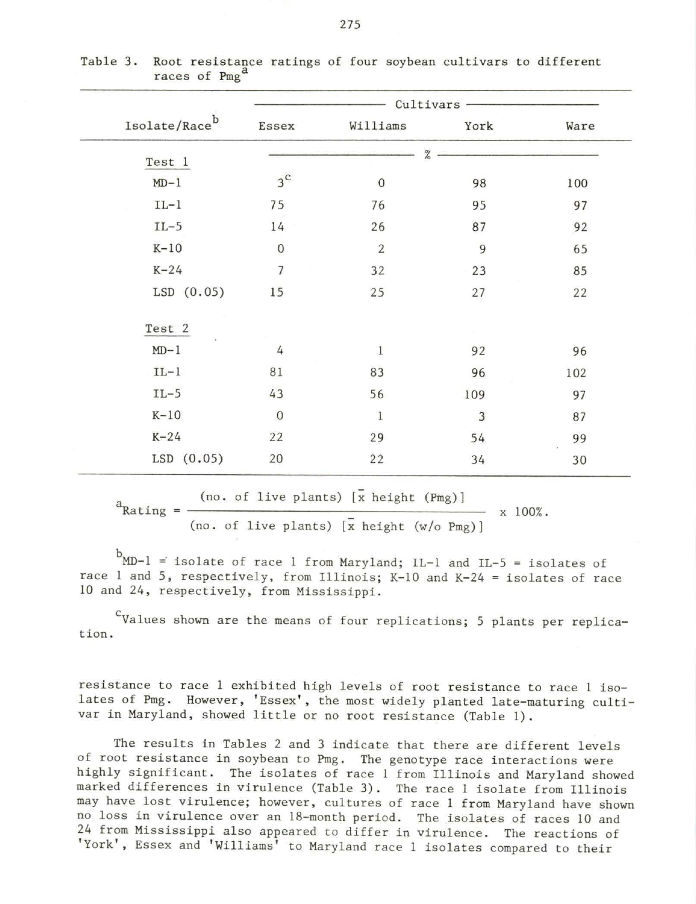|                           | Cultivars      |                  |      |      |  |
|---------------------------|----------------|------------------|------|------|--|
| $\texttt{Isolate/Race}^b$ | Essex          | Williams         | York | Ware |  |
| Test 1                    |                | $\%$             |      |      |  |
| $MD-1$                    | $3^{\rm c}$    | $\boldsymbol{0}$ | 98   | 100  |  |
| $IL-1$                    | 75             | 76               | 95   | 97   |  |
| $IL-5$                    | 14             | 26               | 87   | 92   |  |
| $K-10$                    | $\overline{0}$ | $\sqrt{2}$       | 9    | 65   |  |
| $K-24$                    | $\overline{7}$ | 32               | 23   | 85   |  |
| $LSD$ $(0.05)$            | 15             | 25               | 27   | 22   |  |
| Test 2                    |                |                  |      |      |  |
| $MD-1$                    | $\overline{4}$ | $\mathbf{1}$     | 92   | 96   |  |
| $IL-1$                    | 81             | 83               | 96   | 102  |  |
| $IL-5$                    | 43             | 56               | 109  | 97   |  |
| $K-10$                    | $\mathbf 0$    | $\mathbf{1}$     | 3    | 87   |  |
| $K-24$                    | 22             | 29               | 54   | 99   |  |
| $LSD$ $(0.05)$            | 20             | 22               | 34   | 30   |  |

Table 3. Root resistance ratings of four soybean cultivars to different races of Pmg<sup>d</sup>

 $a_{\text{Rating}} = \frac{(\text{no. of live plants}) [\bar{x} \text{ height (Pmg)}]}{(\text{no. of live plants}) [\bar{x} \text{ height (Pmg)}]}$ 

 $- x 100%$ .

(no. of live plants)  $\overline{x}$  height  $(w/o$  Pmg)]

 $^{b}$ MD-1 = isolate of race 1 from Maryland; IL-1 and IL-5 = isolates of race 1 and 5, respectively, from Illinois; K-10 and K-24 = isolates of race 10 and 24, respectively, from Mississippi.

 $\text{c}_{\text{Values shown are the means of four replications; 5 plants per replica-}$ tion .

resistance to race 1 exhibited high levels of root resistance to race 1 isolates of Pmg. However, 'Essex', the most widely planted late-maturing cultivar in Maryland, showed little or no root resistance (Table 1).

The results in Tables 2 and 3 indicate that there are different levels of root resistance in soybean to Pmg. The genotype race interactions were highly significant. The isolates of race 1 from Illinois and Maryland showed marked differences in virulence (Table 3). The race 1 isolate from Illinois may have lost virulence; however, cultures of race 1 from Maryland have shown no loss in virulence over an 18-month period. The isolates of races 10 and 24 from Mississippi also appeared to differ in virulence. The reactions of 'York', Essex and 'Williams' to Maryland race 1 isolates compared to their